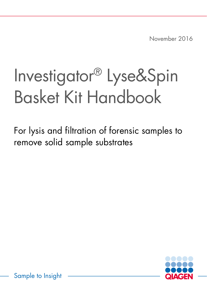November 2016

# Investigator® Lyse&Spin Basket Kit Handbook

For lysis and filtration of forensic samples to remove solid sample substrates



Sample to Insight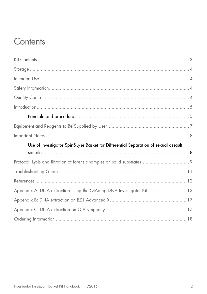### Contents

| Use of Investigator Spin&Lyse Basket for Differential Separation of sexual assault |  |
|------------------------------------------------------------------------------------|--|
|                                                                                    |  |
|                                                                                    |  |
|                                                                                    |  |
|                                                                                    |  |
| Appendix A: DNA extraction using the QIAamp DNA Investigator Kit  13               |  |
|                                                                                    |  |
|                                                                                    |  |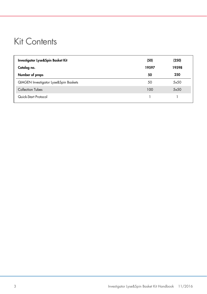### <span id="page-2-0"></span>Kit Contents

| Investigator Lyse&Spin Basket Kit            | (50)  | (250) |
|----------------------------------------------|-------|-------|
| Catalog no.                                  | 19597 | 19598 |
| Number of preps                              | 50    | 250   |
| <b>QIAGEN</b> Investigator Lyse&Spin Baskets | 50    | 5x50  |
| Collection Tubes                             | 100   | 5x50  |
| Quick-Start Protocol                         |       |       |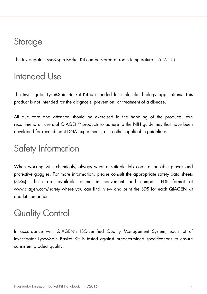### <span id="page-3-0"></span>Storage

The Investigator Lyse&Spin Basket Kit can be stored at room temperature (15–25°C).

### <span id="page-3-1"></span>Intended Use

The Investigator Lyse&Spin Basket Kit is intended for molecular biology applications. This product is not intended for the diagnosis, prevention, or treatment of a disease.

All due care and attention should be exercised in the handling of the products. We recommend all users of QIAGEN® products to adhere to the NIH guidelines that have been developed for recombinant DNA experiments, or to other applicable guidelines.

### <span id="page-3-2"></span>Safety Information

When working with chemicals, always wear a suitable lab coat, disposable gloves and protective goggles. For more information, please consult the appropriate safety data sheets (SDSs). These are available online in convenient and compact PDF format at www.qiagen.com/safety where you can find, view and print the SDS for each QIAGEN kit and kit component.

## <span id="page-3-3"></span>Quality Control

In accordance with QIAGEN's ISO-certified Quality Management System, each lot of Investigator Lyse&Spin Basket Kit is tested against predetermined specifications to ensure consistent product quality.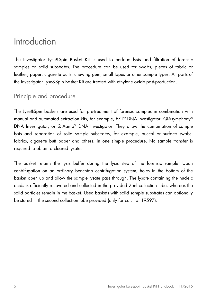### <span id="page-4-0"></span>Introduction

The Investigator Lyse&Spin Basket Kit is used to perform lysis and filtration of forensic samples on solid substrates. The procedure can be used for swabs, pieces of fabric or leather, paper, cigarette butts, chewing gum, small tapes or other sample types. All parts of the Investigator Lyse&Spin Basket Kit are treated with ethylene oxide post-production.

### <span id="page-4-1"></span>Principle and procedure

The Lyse&Spin baskets are used for pre-treatment of forensic samples in combination with manual and automated extraction kits, for example, EZ1® DNA Investigator, QIAsymphony® DNA Investigator, or QIAamp® DNA Investigator. They allow the combination of sample lysis and separation of solid sample substrates, for example, buccal or surface swabs, fabrics, cigarette butt paper and others, in one simple procedure. No sample transfer is required to obtain a cleared lysate.

The basket retains the lysis buffer during the lysis step of the forensic sample. Upon centrifugation on an ordinary benchtop centrifugation system, holes in the bottom of the basket open up and allow the sample lysate pass through. The lysate containing the nucleic acids is efficiently recovered and collected in the provided 2 ml collection tube, whereas the solid particles remain in the basket. Used baskets with solid sample substrates can optionally be stored in the second collection tube provided (only for cat. no. 19597).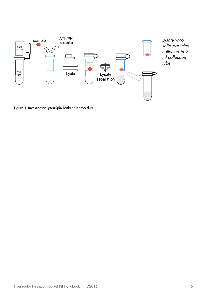

Figure 1. Investigator Lyse&Spin Basket Kit procedure.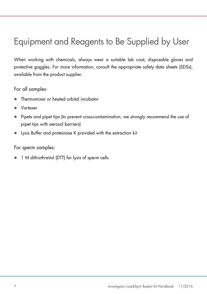## <span id="page-6-0"></span>Equipment and Reagents to Be Supplied by User

When working with chemicals, always wear a suitable lab coat, disposable gloves and protective goggles. For more information, consult the appropriate safety data sheets (SDSs), available from the product supplier.

For all samples:

- Thermomixer or heated orbital incubator
- Vortexer
- Pipets and pipet tips (to prevent cross-contamination, we strongly recommend the use of pipet tips with aerosol barriers)
- Lysis Buffer and proteinase K provided with the extraction kit

For sperm samples:

1 M dithiothreitol (DTT) for lysis of sperm cells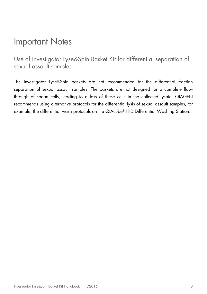### <span id="page-7-0"></span>Important Notes

<span id="page-7-1"></span>Use of Investigator Lyse&Spin Basket Kit for differential separation of sexual assault samples

The Investigator Lyse&Spin baskets are not recommended for the differential fraction separation of sexual assault samples. The baskets are not designed for a complete flowthrough of sperm cells, leading to a loss of these cells in the collected lysate. QIAGEN recommends using alternative protocols for the differential lysis of sexual assault samples, for example, the differential wash protocols on the QIAcube® HID Differential Washing Station.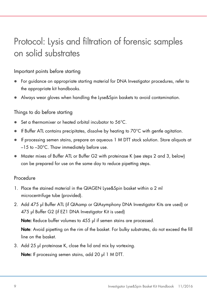### <span id="page-8-0"></span>Protocol: Lysis and filtration of forensic samples on solid substrates

### Important points before starting

- For guidance on appropriate starting material for DNA Investigator procedures, refer to the appropriate kit handbooks.
- Always wear gloves when handling the Lyse&Spin baskets to avoid contamination.

### Things to do before starting

- Set a thermomixer or heated orbital incubator to 56°C.
- If Buffer ATL contains precipitates, dissolve by heating to 70°C with gentle agitation.
- If processing semen stains, prepare an aqueous 1 M DTT stock solution. Store aliquots at –15 to –30°C. Thaw immediately before use.
- Master mixes of Buffer ATL or Buffer G2 with proteinase K (see steps [2](#page-8-1) and [3,](#page-8-2) below) can be prepared for use on the same day to reduce pipetting steps.

### **Procedure**

- 1. Place the stained material in the QIAGEN Lyse&Spin basket within a 2 ml microcentrifuge tube (provided).
- <span id="page-8-1"></span>2. Add 475 μl Buffer ATL (if QIAamp or QIAsymphony DNA Investigator Kits are used) or 475 μl Buffer G2 (if EZ1 DNA Investigator Kit is used)

Note: Reduce buffer volumes to 455 μl if semen stains are processed.

Note: Avoid pipetting on the rim of the basket. For bulky substrates, do not exceed the fill line on the basket.

<span id="page-8-2"></span>3. Add 25 μl proteinase K, close the lid and mix by vortexing. Note: If processing semen stains, add 20 μl 1 M DTT.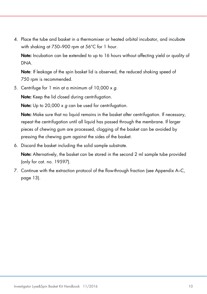4. Place the tube and basket in a thermomixer or heated orbital incubator, and incubate with shaking at 750–900 rpm at 56°C for 1 hour.

Note: Incubation can be extended to up to 16 hours without affecting yield or quality of DNA.

Note: If leakage of the spin basket lid is observed, the reduced shaking speed of 750 rpm is recommended.

5. Centrifuge for 1 min at a minimum of 10,000 x *g*.

Note: Keep the lid closed during centrifugation.

Note: Up to 20,000 x *g* can be used for centrifugation.

Note: Make sure that no liquid remains in the basket after centrifugation. If necessary, repeat the centrifugation until all liquid has passed through the membrane. If larger pieces of chewing gum are processed, clogging of the basket can be avoided by pressing the chewing gum against the sides of the basket.

6. Discard the basket including the solid sample substrate.

Note: Alternatively, the basket can be stored in the second 2 ml sample tube provided (only for cat. no. 19597).

7. Continue with the extraction protocol of the flow-through fraction (see Appendix A–C, page [13\)](#page-12-0).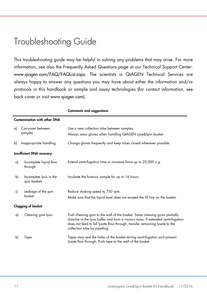### <span id="page-10-0"></span>Troubleshooting Guide

This troubleshooting guide may be helpful in solving any problems that may arise. For more information, see also the Frequently Asked Questions page at our Technical Support Center: www.qiagen.com/FAQ/FAQList.aspx. The scientists in QIAGEN Technical Services are always happy to answer any questions you may have about either the information and/or protocols in this handbook or sample and assay technologies (for contact information, see back cover or visit www.qiagen.com).

|                                     |                                         | Comments and suggestions                                                                                                                                                                                                                                                    |  |  |  |
|-------------------------------------|-----------------------------------------|-----------------------------------------------------------------------------------------------------------------------------------------------------------------------------------------------------------------------------------------------------------------------------|--|--|--|
| <b>Contamination with other DNA</b> |                                         |                                                                                                                                                                                                                                                                             |  |  |  |
| a)                                  | Carryover between<br>samples            | Use a new collection tube between samples.<br>Always wear gloves when handling QIAGEN Lyse&Spin basket.                                                                                                                                                                     |  |  |  |
| b)                                  | Inappropriate handling                  | Change gloves frequently and keep tubes closed whenever possible.                                                                                                                                                                                                           |  |  |  |
|                                     | Insufficient DNA recovery               |                                                                                                                                                                                                                                                                             |  |  |  |
| a)                                  | Incomplete liquid flow<br>through       | Extend centrifugation time or increase force up to $20,000 \times g$ .                                                                                                                                                                                                      |  |  |  |
| b)                                  | Incomplete lysis in the<br>spin baskets | Incubate the forensic sample for up to 16 hours.                                                                                                                                                                                                                            |  |  |  |
| c)                                  | Leakage of the spin                     | Reduce shaking speed to 750 rpm.                                                                                                                                                                                                                                            |  |  |  |
|                                     | basket                                  | Make sure that the liquid level does not exceed the fill line on the basket.                                                                                                                                                                                                |  |  |  |
|                                     | <b>Clogging of basket</b>               |                                                                                                                                                                                                                                                                             |  |  |  |
| a)                                  | Chewing gum lysis                       | Push chewing gum to the wall of the basket. Some chewing gums partially<br>dissolve in the lysis buffer and form a viscous mass. If extended centrifugation<br>does not lead to full lysate flow through, transfer remaining lysate to the<br>collection tube by pipetting. |  |  |  |
| $\mathsf{b}$                        | Tape                                    | Tapes may seal the holes of the basket during centrifugation and prevent<br>lysate flow through. Push tape to the wall of the basket.                                                                                                                                       |  |  |  |
|                                     |                                         |                                                                                                                                                                                                                                                                             |  |  |  |

Comments and suggestions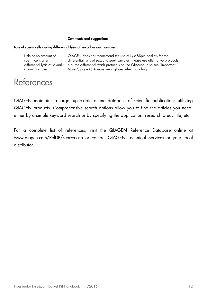#### Comments and suggestions

#### Loss of sperm cells during differential lysis of sexual assault samples

Little or no amount of sperm cells after differential lysis of sexual assault samples

QIAGEN does not recommend the use of Lyse&Spin baskets for the differential lysis of sexual assault samples. Please use alternative protocols e.g. the differential wash protocols on the QIAcube (also see "Important Notes", page [8\)](#page-7-0) Always wear gloves when handling.

### <span id="page-11-0"></span>References

QIAGEN maintains a large, up-to-date online database of scientific publications utilizing QIAGEN products. Comprehensive search options allow you to find the articles you need, either by a simple keyword search or by specifying the application, research area, title, etc.

<span id="page-11-1"></span>For a complete list of references, visit the QIAGEN Reference Database online at www.qiagen.com/RefDB/search.asp or contact QIAGEN Technical Services or your local distributor.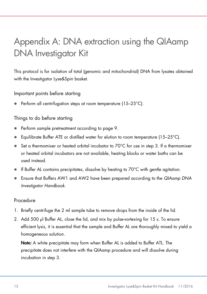## <span id="page-12-0"></span>Appendix A: DNA extraction using the QIAamp DNA Investigator Kit

This protocol is for isolation of total (genomic and mitochondrial) DNA from lysates obtained with the Investigator Lyse&Spin basket.

Important points before starting

**•** Perform all centrifugation steps at room temperature  $(15-25^{\circ}C)$ .

### Things to do before starting

- Perform sample pretreatment according to page [9.](#page-8-0)
- **Equilibrate Buffer ATE or distilled water for elution to room temperature (15–25°C).**
- Set a thermomixer or heated orbital incubator to 70°C for use in step 3. If a thermomixer or heated orbital incubators are not available, heating blocks or water baths can be used instead.
- If Buffer AL contains precipitates, dissolve by heating to  $70^{\circ}$ C with gentle agitation.
- Ensure that Buffers AW1 and AW2 have been prepared according to the *QIAamp DNA Investigator Handbook*.

### Procedure

- 1. Briefly centrifuge the 2 ml sample tube to remove drops from the inside of the lid.
- 2. Add 500 μl Buffer AL, close the lid, and mix by pulse-vortexing for 15 s. To ensure efficient lysis, it is essential that the sample and Buffer AL are thoroughly mixed to yield a homogeneous solution.

Note: A white precipitate may form when Buffer AL is added to Buffer ATL. The precipitate does not interfere with the QIAamp procedure and will dissolve during incubation in step 3.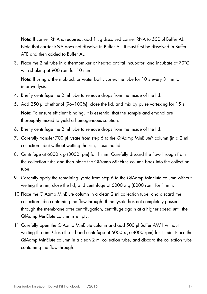Note: If carrier RNA is required, add 1 μg dissolved carrier RNA to 500 μl Buffer AL. Note that carrier RNA does not dissolve in Buffer AL. It must first be dissolved in Buffer ATE and then added to Buffer AL.

3. Place the 2 ml tube in a thermomixer or heated orbital incubator, and incubate at 70°C with shaking at 900 rpm for 10 min.

Note: If using a thermoblock or water bath, vortex the tube for 10 s every 3 min to improve lysis.

- 4. Briefly centrifuge the 2 ml tube to remove drops from the inside of the lid.
- 5. Add 250 μl of ethanol (96–100%), close the lid, and mix by pulse vortexing for 15 s. Note: To ensure efficient binding, it is essential that the sample and ethanol are thoroughly mixed to yield a homogeneous solution.
- 6. Briefly centrifuge the 2 ml tube to remove drops from the inside of the lid.
- 7. Carefully transfer 700 μl lysate from step 6 to the QIAamp MinElute® column (in a 2 ml collection tube) without wetting the rim, close the lid.
- 8. Centrifuge at 6000 x *g* (8000 rpm) for 1 min. Carefully discard the flow-through from the collection tube and then place the QIAamp MinElute column back into the collection tube.
- 9. Carefully apply the remaining lysate from step 6 to the QIAamp MinElute column without wetting the rim, close the lid, and centrifuge at 6000 x *g* (8000 rpm) for 1 min.
- 10.Place the QIAamp MinElute column in a clean 2 ml collection tube, and discard the collection tube containing the flow-through. If the lysate has not completely passed through the membrane after centrifugation, centrifuge again at a higher speed until the QIAamp MinElute column is empty.
- 11.Carefully open the QIAamp MinElute column and add 500 μl Buffer AW1 without wetting the rim. Close the lid and centrifuge at 6000 x *g* (8000 rpm) for 1 min. Place the QIAamp MinElute column in a clean 2 ml collection tube, and discard the collection tube containing the flow-through.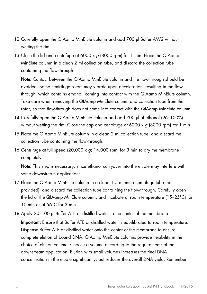- 12.Carefully open the QIAamp MinElute column and add 700 μl Buffer AW2 without wetting the rim.
- 13.Close the lid and centrifuge at 6000 x *g* (8000 rpm) for 1 min. Place the QIAamp MinElute column in a clean 2 ml collection tube, and discard the collection tube containing the flow-through.

Note: Contact between the QIAamp MinElute column and the flow-through should be avoided. Some centrifuge rotors may vibrate upon deceleration, resulting in the flowthrough, which contains ethanol, coming into contact with the QIAamp MinElute column. Take care when removing the QIAamp MinElute column and collection tube from the rotor, so that flow-through does not come into contact with the QIAamp MinElute column.

- 14.Carefully open the QIAamp MinElute column and add 700 μl of ethanol (96–100%) without wetting the rim. Close the cap and centrifuge at 6000 x *g* (8000 rpm) for 1 min.
- 15.Place the QIAamp MinElute column in a clean 2 ml collection tube, and discard the collection tube containing the flow-through.
- 16.Centrifuge at full speed (20,000 x *g*; 14,000 rpm) for 3 min to dry the membrane completely.

Note: This step is necessary, since ethanol carryover into the eluate may interfere with some downstream applications.

- 17.Place the QIAamp MinElute column in a clean 1.5 ml microcentrifuge tube (not provided), and discard the collection tube containing the flow-through. Carefully open the lid of the QIAamp MinElute column, and incubate at room temperature (15–25°C) for 10 min or at 56°C for 3 min.
- 18.Apply 20–100 μl Buffer ATE or distilled water to the center of the membrane.

Important: Ensure that Buffer ATE or distilled water is equilibrated to room temperature. Dispense Buffer ATE or distilled water onto the center of the membrane to ensure complete elution of bound DNA. QIAamp MinElute columns provide flexibility in the choice of elution volume. Choose a volume according to the requirements of the downstream application. Elution with small volumes increases the final DNA concentration in the eluate significantly, but reduces the overall DNA yield. Remember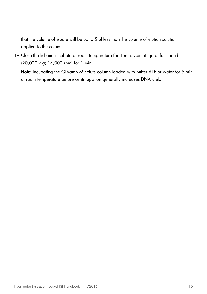that the volume of eluate will be up to 5 μl less than the volume of elution solution applied to the column.

19.Close the lid and incubate at room temperature for 1 min. Centrifuge at full speed (20,000 x *g*; 14,000 rpm) for 1 min.

Note: Incubating the QIAamp MinElute column loaded with Buffer ATE or water for 5 min at room temperature before centrifugation generally increases DNA yield.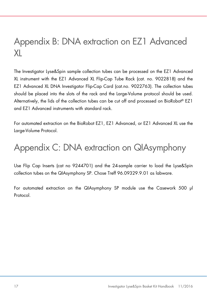### <span id="page-16-0"></span>Appendix B: DNA extraction on EZ1 Advanced XL

The Investigator Lyse&Spin sample collection tubes can be processed on the EZ1 Advanced XL instrument with the EZ1 Advanced XL Flip-Cap Tube Rack (cat. no. 9022818) and the EZ1 Advanced XL DNA Investigator Flip-Cap Card (cat.no. 9022763). The collection tubes should be placed into the slots of the rack and the Large-Volume protocol should be used. Alternatively, the lids of the collection tubes can be cut off and processed on BioRobot® EZ1 and EZ1 Advanced instruments with standard rack.

For automated extraction on the BioRobot EZ1, EZ1 Advanced, or EZ1 Advanced XL use the Large-Volume Protocol.

# <span id="page-16-1"></span>Appendix C: DNA extraction on QIAsymphony

Use Flip Cap Inserts (cat no 9244701) and the 24-sample carrier to load the Lyse&Spin collection tubes on the QIAsymphony SP. Chose Treff 96.09329.9.01 as labware.

<span id="page-16-2"></span>For automated extraction on the QIAsymphony SP module use the Casework 500 μl Protocol.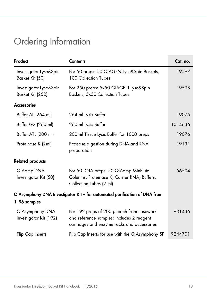# Ordering Information

| Product                                                                   | <b>Contents</b>                                                                                                                        | Cat. no. |  |  |
|---------------------------------------------------------------------------|----------------------------------------------------------------------------------------------------------------------------------------|----------|--|--|
| Investigator Lyse&Spin<br>Basket Kit (50)                                 | For 50 preps: 50 QIAGEN Lyse&Spin Baskets,<br>100 Collection Tubes                                                                     | 19597    |  |  |
| Investigator Lyse&Spin<br>Basket Kit (250)                                | For 250 preps: 5x50 QIAGEN Lyse&Spin<br>Baskets, 5x50 Collection Tubes                                                                 | 19598    |  |  |
| <b>Accessories</b>                                                        |                                                                                                                                        |          |  |  |
| Buffer AL (264 ml)                                                        | 264 ml Lysis Buffer                                                                                                                    | 19075    |  |  |
| Buffer G2 (260 ml)                                                        | 260 ml Lysis Buffer                                                                                                                    | 1014636  |  |  |
| Buffer ATL (200 ml)                                                       | 200 ml Tissue Lysis Buffer for 1000 preps                                                                                              | 19076    |  |  |
| Proteinase K (2ml)                                                        | Protease digestion during DNA and RNA<br>preparation                                                                                   | 19131    |  |  |
| <b>Related products</b>                                                   |                                                                                                                                        |          |  |  |
| QIAamp DNA<br>Investigator Kit (50)                                       | For 50 DNA preps: 50 QIAamp MinElute<br>Columns, Proteinase K, Carrier RNA, Buffers,<br>Collection Tubes (2 ml)                        | 56504    |  |  |
| QIAsymphony DNA Investigator Kit - for automated purification of DNA from |                                                                                                                                        |          |  |  |
| 1-96 samples                                                              |                                                                                                                                        |          |  |  |
| <b>QIAsymphony DNA</b><br>Investigator Kit (192)                          | For 192 preps of 200 µl each from casework<br>and reference samples: includes 2 reagent<br>cartridges and enzyme racks and accessories | 931436   |  |  |
| Flip Cap Inserts                                                          | Flip Cap Inserts for use with the QIAsymphony SP                                                                                       | 9244701  |  |  |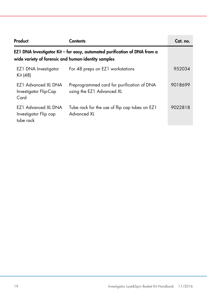| Product                                                                                                                          | Contents                                                                | Cat. no. |  |  |
|----------------------------------------------------------------------------------------------------------------------------------|-------------------------------------------------------------------------|----------|--|--|
| EZ1 DNA Investigator Kit - for easy, automated purification of DNA from a<br>wide variety of forensic and human-identity samples |                                                                         |          |  |  |
| EZ1 DNA Investigator<br>Kit (48)                                                                                                 | For 48 preps on EZ1 workstations                                        | 952034   |  |  |
| F71 Advanced XI DNA<br>Investigator Flip-Cap<br>Card                                                                             | Preprogrammed card for purification of DNA<br>using the EZ1 Advanced XL | 9018699  |  |  |
| EZ1 Advanced XL DNA<br>Investigator Flip cap<br>tube rack                                                                        | Tube rack for the use of flip cap tubes on EZ1<br>Advanced XI           | 9022818  |  |  |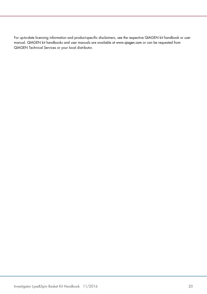For up-to-date licensing information and product-specific disclaimers, see the respective QIAGEN kit handbook or user manual. QIAGEN kit handbooks and user manuals are available at www.qiagen.com or can be requested from QIAGEN Technical Services or your local distributor.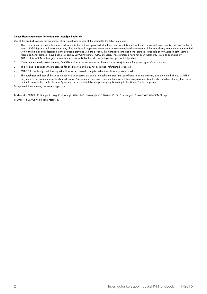#### Limited License Agreement for Investigator Lyse&Spin Basket Kit

Use of this product signifies the agreement of any purchaser or user of the product to the following terms:

- I. The product may be used solely in accordance with the protocols provided with the product and this handbook and tor use with components contained in the kit (n) he kit (n) only. QIAGEN grants no license under any of its within this kit except as described in the protocols provided with the product, this handbook, and additional protocols available at www.qiagen.com. Some of these additional protocols have been provided by QIAGEN users for QIAGEN users. These protocols have not been thoroughly tested or optimized by QIAGEN. QIAGEN neither guarantees them nor warrants that they do not infringe the rights of third-parties.
- 2. Other than expressly stated licenses, QIAGEN makes no warranty that this kit and/or its use(s) do not infringe the rights of third-parties.
- 3. This kit and its components are licensed for one-time use and may not be reused, refurbished, or resold.
- 4. QIAGEN specifically disclaims any other licenses, expressed or implied other than those expressly stated.
- 5. The purchaser and user of the kit agree not to take or permit anyone else to take any steps that could lead to or facilitate any acts prohibited above. QIAGEN may enforce the prohibitions of this Limited License Agreement in any Court, and shall recover all its investigative and Court costs, including attorney fees, in any action to enforce this Limited License Agreement or any of its intellectual property rights relating to the kit and/or its components.

For updated license terms, see [www.qiagen.com.](http://www.qiagen.com/)

Trademarks: QIAGEN®, Sample to Insight®, QIAamp®, QIAcube®, QIAsymphony®, BioRobot®, EZ1®, Investigator®, MinElute® (QIAGEN Group). © 2015–16 QIAGEN, all rights reserved.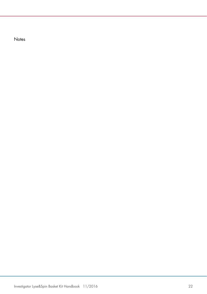Notes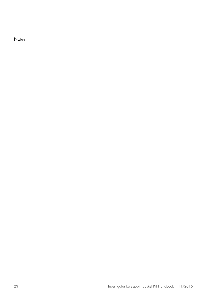Notes